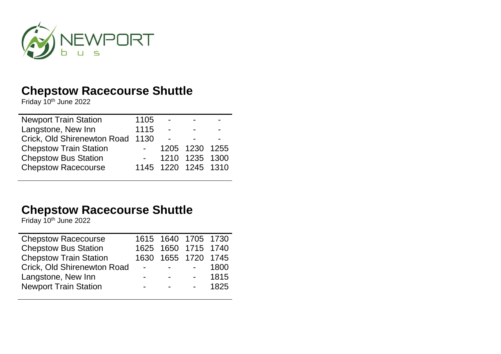

Friday 10<sup>th</sup> June 2022

| <b>Newport Train Station</b>     | 1105                    | $\sim$         | -                   |      |
|----------------------------------|-------------------------|----------------|---------------------|------|
| Langstone, New Inn               | 1115                    | $\sim$         | $\sim$              | $\,$ |
| Crick, Old Shirenewton Road 1130 |                         | $\blacksquare$ | -                   |      |
| <b>Chepstow Train Station</b>    |                         |                | 1205 1230 1255      |      |
| <b>Chepstow Bus Station</b>      | $\sim 100$ km s $^{-1}$ |                | 1210 1235 1300      |      |
| <b>Chepstow Racecourse</b>       |                         |                | 1145 1220 1245 1310 |      |

## **Chepstow Racecourse Shuttle**

Friday 10<sup>th</sup> June 2022

| <b>Chepstow Racecourse</b>    |                | 1615 1640 1705 1730               |                                 |      |
|-------------------------------|----------------|-----------------------------------|---------------------------------|------|
| <b>Chepstow Bus Station</b>   |                | 1625 1650 1715 1740               |                                 |      |
| <b>Chepstow Train Station</b> |                | 1630 1655 1720 1745               |                                 |      |
| Crick, Old Shirenewton Road   | $\sim$ $-$     | and the state of the state of the |                                 | 1800 |
| Langstone, New Inn            | $\blacksquare$ | <b>Contract Contract</b>          | $\frac{1}{2}$ and $\frac{1}{2}$ | 1815 |
| <b>Newport Train Station</b>  |                | $\blacksquare$                    | $\Delta \sim 100$               | 1825 |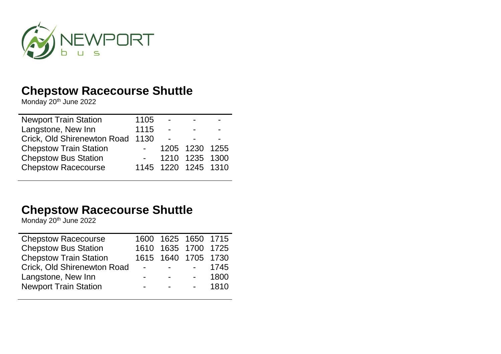

Monday 20<sup>th</sup> June 2022

| <b>Newport Train Station</b>     | 1105            | $\overline{\phantom{a}}$ | $\sim$         |        |
|----------------------------------|-----------------|--------------------------|----------------|--------|
| Langstone, New Inn               | 1115            | $\overline{\phantom{a}}$ | -              | $\sim$ |
| Crick, Old Shirenewton Road 1130 |                 | $\blacksquare$           | -              |        |
| <b>Chepstow Train Station</b>    | $\sim$ 10 $\pm$ |                          | 1205 1230 1255 |        |
| <b>Chepstow Bus Station</b>      |                 |                          | 1210 1235 1300 |        |
| <b>Chepstow Racecourse</b>       |                 | 1145 1220 1245 1310      |                |        |

# **Chepstow Racecourse Shuttle**

Monday 20<sup>th</sup> June 2022

| <b>Chepstow Racecourse</b>    |                | 1600 1625 1650 1715               |                              |          |
|-------------------------------|----------------|-----------------------------------|------------------------------|----------|
| <b>Chepstow Bus Station</b>   |                | 1610 1635 1700 1725               |                              |          |
| <b>Chepstow Train Station</b> |                | 1615 1640 1705 1730               |                              |          |
| Crick, Old Shirenewton Road   | $\sim$         | and the state of the state of the |                              | 1745     |
| Langstone, New Inn            | $\blacksquare$ | <b>Contract Contract</b>          | $\sim 10^{-10}$ km s $^{-1}$ | 1800     |
| <b>Newport Train Station</b>  | $\blacksquare$ | $\sim$ 100 $\sim$                 |                              | $- 1810$ |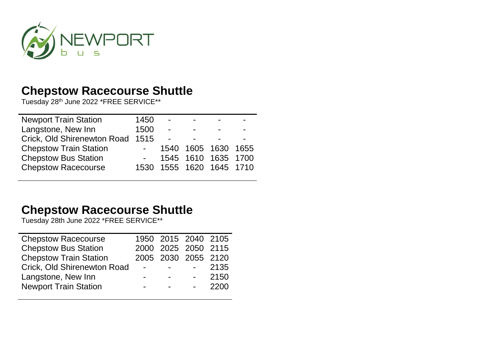

Tuesday 28th June 2022 \*FREE SERVICE\*\*

| <b>Newport Train Station</b>     | 1450       | $\sim$                   | $\sim$         |                     |  |
|----------------------------------|------------|--------------------------|----------------|---------------------|--|
| Langstone, New Inn               | 1500       | $\sim$                   | $\blacksquare$ |                     |  |
| Crick, Old Shirenewton Road 1515 |            | $\sim$                   |                |                     |  |
| <b>Chepstow Train Station</b>    | $\sim 100$ |                          |                | 1540 1605 1630 1655 |  |
| <b>Chepstow Bus Station</b>      |            |                          |                | 1545 1610 1635 1700 |  |
| <b>Chepstow Racecourse</b>       |            | 1530 1555 1620 1645 1710 |                |                     |  |

## **Chepstow Racecourse Shuttle**

Tuesday 28th June 2022 \*FREE SERVICE\*\*

| <b>Chepstow Racecourse</b>    |                          | 1950 2015 2040 2105               |                               |         |
|-------------------------------|--------------------------|-----------------------------------|-------------------------------|---------|
| <b>Chepstow Bus Station</b>   |                          | 2000 2025 2050 2115               |                               |         |
| <b>Chepstow Train Station</b> |                          | 2005 2030 2055 2120               |                               |         |
| Crick, Old Shirenewton Road   | $\sim$ $-$               | and the state of the state of the |                               | 2135    |
| Langstone, New Inn            | $\blacksquare$           | <b>Contract Contract</b>          | $\mathbf{m}$ and $\mathbf{m}$ | 2150    |
| <b>Newport Train Station</b>  | $\overline{\phantom{0}}$ | $\sim$ 100 $\mu$                  |                               | $-2200$ |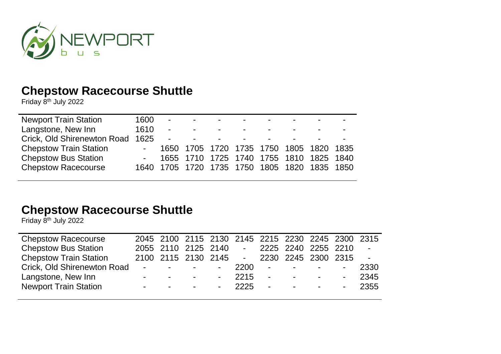

Friday 8th July 2022

| <b>Newport Train Station</b>     | 1600 | <b>Service</b> | <b>Contract Contract</b> | <b>Contract Contract Contract</b>   | $\blacksquare$                  | $\sim$                           |                                              |  |
|----------------------------------|------|----------------|--------------------------|-------------------------------------|---------------------------------|----------------------------------|----------------------------------------------|--|
| Langstone, New Inn               | 1610 | $\sim$         | <b>Contract Contract</b> | <b>Contract Contract Contract</b>   | $\blacksquare$                  | $\sim$                           |                                              |  |
| Crick, Old Shirenewton Road 1625 |      | $\sim$ $-$     | <b>Contract Contract</b> | $\sim 10^{-10}$ and $\sim 10^{-10}$ | the contract of the contract of | <b>Service Contract Contract</b> |                                              |  |
| <b>Chepstow Train Station</b>    |      |                |                          |                                     |                                 |                                  | 1650 1705 1720 1735 1750 1805 1820 1835      |  |
| <b>Chepstow Bus Station</b>      |      |                |                          |                                     |                                 |                                  | - 1655 1710 1725 1740 1755 1810 1825 1840    |  |
| <b>Chepstow Racecourse</b>       |      |                |                          |                                     |                                 |                                  | 1640 1705 1720 1735 1750 1805 1820 1835 1850 |  |

## **Chepstow Racecourse Shuttle**

Friday 8th July 2022

| <b>Chepstow Racecourse</b>    |                                        |  | 2045 2100 2115 2130 2145 2215 2230 2245 2300 2315 |  |                         |
|-------------------------------|----------------------------------------|--|---------------------------------------------------|--|-------------------------|
| <b>Chepstow Bus Station</b>   |                                        |  | 2055 2110 2125 2140 - 2225 2240 2255 2210         |  | $\sim$                  |
| <b>Chepstow Train Station</b> |                                        |  | 2100 2115 2130 2145 - 2230 2245 2300 2315         |  | $\sim 100$ km s $^{-1}$ |
| Crick, Old Shirenewton Road   |                                        |  | <u>- - - - 2200 - - - - -</u>                     |  | 2330                    |
| Langstone, New Inn            | with the company of the company of     |  | $-2215$ $    2345$                                |  |                         |
| <b>Newport Train Station</b>  | with the company of the company of the |  | - 2225 - - - - - 2355                             |  |                         |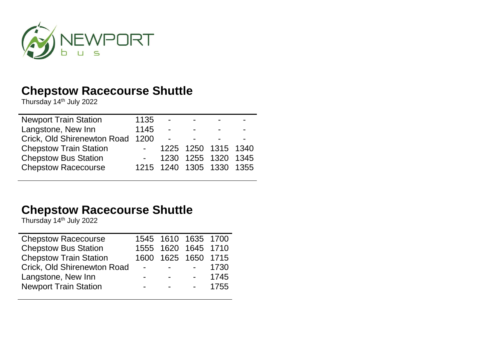

Thursday 14th July 2022

| <b>Newport Train Station</b>  | 1135       | $\blacksquare$ |                          |  |
|-------------------------------|------------|----------------|--------------------------|--|
| Langstone, New Inn            | 1145       | $\overline{a}$ | $\blacksquare$           |  |
| Crick, Old Shirenewton Road   | 1200       | $\blacksquare$ |                          |  |
| <b>Chepstow Train Station</b> | $\sim 100$ |                | 1225 1250 1315 1340      |  |
| <b>Chepstow Bus Station</b>   |            |                | 1230 1255 1320 1345      |  |
| <b>Chepstow Racecourse</b>    |            |                | 1215 1240 1305 1330 1355 |  |
|                               |            |                |                          |  |

#### **Chepstow Racecourse Shuttle**

Thursday 14th July 2022

| <b>Chepstow Racecourse</b>    |                      | 1545 1610 1635 1700               |                                |         |
|-------------------------------|----------------------|-----------------------------------|--------------------------------|---------|
| <b>Chepstow Bus Station</b>   |                      | 1555 1620 1645 1710               |                                |         |
| <b>Chepstow Train Station</b> |                      | 1600 1625 1650 1715               |                                |         |
| Crick, Old Shirenewton Road   | $\sim 100$ m $^{-1}$ | and the state of the state of the |                                | 1730    |
| Langstone, New Inn            | $\blacksquare$       | <b>Contract Contract</b>          | $\Delta \sim 100$ km s $^{-1}$ | 1745    |
| <b>Newport Train Station</b>  | $\blacksquare$       | $\blacksquare$                    |                                | $-1755$ |